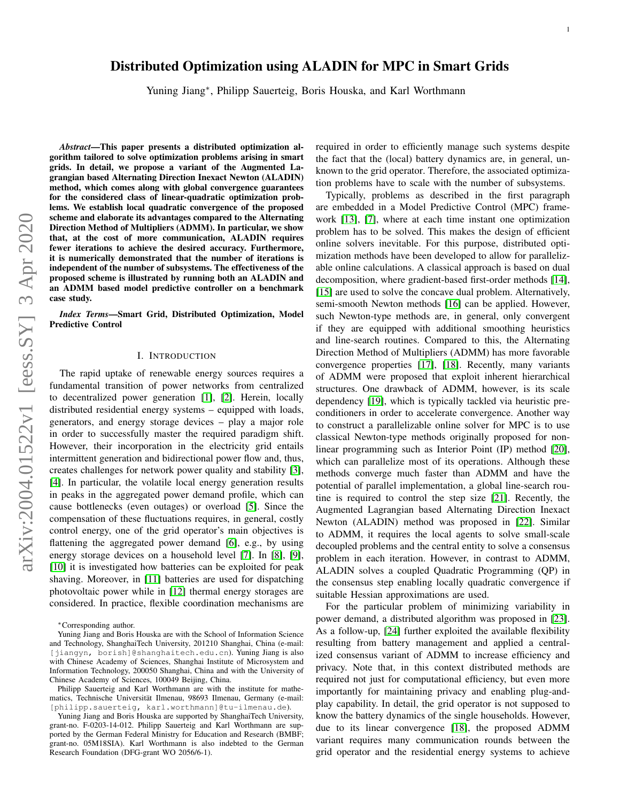# Distributed Optimization using ALADIN for MPC in Smart Grids

Yuning Jiang<sup>∗</sup> , Philipp Sauerteig, Boris Houska, and Karl Worthmann

*Abstract*—This paper presents a distributed optimization algorithm tailored to solve optimization problems arising in smart grids. In detail, we propose a variant of the Augmented Lagrangian based Alternating Direction Inexact Newton (ALADIN) method, which comes along with global convergence guarantees for the considered class of linear-quadratic optimization problems. We establish local quadratic convergence of the proposed scheme and elaborate its advantages compared to the Alternating Direction Method of Multipliers (ADMM). In particular, we show that, at the cost of more communication, ALADIN requires fewer iterations to achieve the desired accuracy. Furthermore, it is numerically demonstrated that the number of iterations is independent of the number of subsystems. The effectiveness of the proposed scheme is illustrated by running both an ALADIN and an ADMM based model predictive controller on a benchmark case study.

*Index Terms*—Smart Grid, Distributed Optimization, Model Predictive Control

# I. INTRODUCTION

<span id="page-0-0"></span>The rapid uptake of renewable energy sources requires a fundamental transition of power networks from centralized to decentralized power generation [\[1\]](#page-8-0), [\[2\]](#page-8-1). Herein, locally distributed residential energy systems – equipped with loads, generators, and energy storage devices – play a major role in order to successfully master the required paradigm shift. However, their incorporation in the electricity grid entails intermittent generation and bidirectional power flow and, thus, creates challenges for network power quality and stability [\[3\]](#page-9-0), [\[4\]](#page-9-1). In particular, the volatile local energy generation results in peaks in the aggregated power demand profile, which can cause bottlenecks (even outages) or overload [\[5\]](#page-9-2). Since the compensation of these fluctuations requires, in general, costly control energy, one of the grid operator's main objectives is flattening the aggregated power demand [\[6\]](#page-9-3), e.g., by using energy storage devices on a household level [\[7\]](#page-9-4). In [\[8\]](#page-9-5), [\[9\]](#page-9-6), [\[10\]](#page-9-7) it is investigated how batteries can be exploited for peak shaving. Moreover, in [\[11\]](#page-9-8) batteries are used for dispatching photovoltaic power while in [\[12\]](#page-9-9) thermal energy storages are considered. In practice, flexible coordination mechanisms are required in order to efficiently manage such systems despite the fact that the (local) battery dynamics are, in general, unknown to the grid operator. Therefore, the associated optimization problems have to scale with the number of subsystems.

Typically, problems as described in the first paragraph are embedded in a Model Predictive Control (MPC) framework [\[13\]](#page-9-10), [\[7\]](#page-9-4), where at each time instant one optimization problem has to be solved. This makes the design of efficient online solvers inevitable. For this purpose, distributed optimization methods have been developed to allow for parallelizable online calculations. A classical approach is based on dual decomposition, where gradient-based first-order methods [\[14\]](#page-9-11), [\[15\]](#page-9-12) are used to solve the concave dual problem. Alternatively, semi-smooth Newton methods [\[16\]](#page-9-13) can be applied. However, such Newton-type methods are, in general, only convergent if they are equipped with additional smoothing heuristics and line-search routines. Compared to this, the Alternating Direction Method of Multipliers (ADMM) has more favorable convergence properties [\[17\]](#page-9-14), [\[18\]](#page-9-15). Recently, many variants of ADMM were proposed that exploit inherent hierarchical structures. One drawback of ADMM, however, is its scale dependency [\[19\]](#page-9-16), which is typically tackled via heuristic preconditioners in order to accelerate convergence. Another way to construct a parallelizable online solver for MPC is to use classical Newton-type methods originally proposed for nonlinear programming such as Interior Point (IP) method [\[20\]](#page-9-17), which can parallelize most of its operations. Although these methods converge much faster than ADMM and have the potential of parallel implementation, a global line-search routine is required to control the step size [\[21\]](#page-9-18). Recently, the Augmented Lagrangian based Alternating Direction Inexact Newton (ALADIN) method was proposed in [\[22\]](#page-9-19). Similar to ADMM, it requires the local agents to solve small-scale decoupled problems and the central entity to solve a consensus problem in each iteration. However, in contrast to ADMM, ALADIN solves a coupled Quadratic Programming (QP) in the consensus step enabling locally quadratic convergence if suitable Hessian approximations are used.

For the particular problem of minimizing variability in power demand, a distributed algorithm was proposed in [\[23\]](#page-9-20). As a follow-up, [\[24\]](#page-9-21) further exploited the available flexibility resulting from battery management and applied a centralized consensus variant of ADMM to increase efficiency and privacy. Note that, in this context distributed methods are required not just for computational efficiency, but even more importantly for maintaining privacy and enabling plug-andplay capability. In detail, the grid operator is not supposed to know the battery dynamics of the single households. However, due to its linear convergence [\[18\]](#page-9-15), the proposed ADMM variant requires many communication rounds between the grid operator and the residential energy systems to achieve

<sup>∗</sup>Corresponding author.

Yuning Jiang and Boris Houska are with the School of Information Science and Technology, ShanghaiTech University, 201210 Shanghai, China (e-mail: [jiangyn, borish]@shanghaitech.edu.cn). Yuning Jiang is also with Chinese Academy of Sciences, Shanghai Institute of Microsystem and Information Technology, 200050 Shanghai, China and with the University of Chinese Academy of Sciences, 100049 Beijing, China.

Philipp Sauerteig and Karl Worthmann are with the institute for mathematics, Technische Universität Ilmenau, 98693 Ilmenau, Germany (e-mail: [philipp.sauerteig, karl.worthmann]@tu-ilmenau.de).

Yuning Jiang and Boris Houska are supported by ShanghaiTech University, grant-no. F-0203-14-012. Philipp Sauerteig and Karl Worthmann are supported by the German Federal Ministry for Education and Research (BMBF; grant-no. 05M18SIA). Karl Worthmann is also indebted to the German Research Foundation (DFG-grant WO 2056/6-1).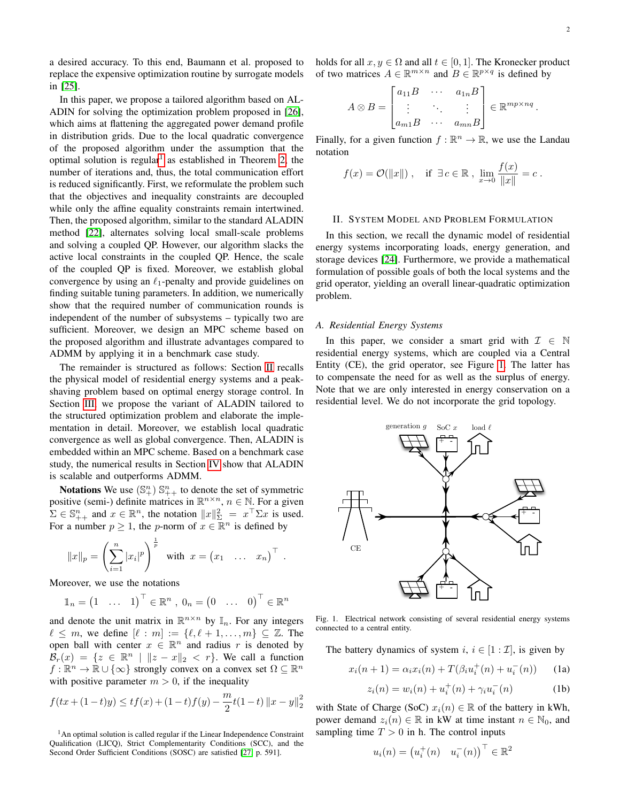a desired accuracy. To this end, Baumann et al. proposed to replace the expensive optimization routine by surrogate models in [\[25\]](#page-9-22).

In this paper, we propose a tailored algorithm based on AL-ADIN for solving the optimization problem proposed in [\[26\]](#page-9-23), which aims at flattening the aggregated power demand profile in distribution grids. Due to the local quadratic convergence of the proposed algorithm under the assumption that the optimal solution is regular<sup>[1](#page-1-0)</sup> as established in Theorem [2,](#page-5-0) the number of iterations and, thus, the total communication effort is reduced significantly. First, we reformulate the problem such that the objectives and inequality constraints are decoupled while only the affine equality constraints remain intertwined. Then, the proposed algorithm, similar to the standard ALADIN method [\[22\]](#page-9-19), alternates solving local small-scale problems and solving a coupled QP. However, our algorithm slacks the active local constraints in the coupled QP. Hence, the scale of the coupled QP is fixed. Moreover, we establish global convergence by using an  $\ell_1$ -penalty and provide guidelines on finding suitable tuning parameters. In addition, we numerically show that the required number of communication rounds is independent of the number of subsystems – typically two are sufficient. Moreover, we design an MPC scheme based on the proposed algorithm and illustrate advantages compared to ADMM by applying it in a benchmark case study.

The remainder is structured as follows: Section [II](#page-1-1) recalls the physical model of residential energy systems and a peakshaving problem based on optimal energy storage control. In Section [III,](#page-3-0) we propose the variant of ALADIN tailored to the structured optimization problem and elaborate the implementation in detail. Moreover, we establish local quadratic convergence as well as global convergence. Then, ALADIN is embedded within an MPC scheme. Based on a benchmark case study, the numerical results in Section [IV](#page-6-0) show that ALADIN is scalable and outperforms ADMM.

**Notations** We use  $(\mathbb{S}^n_+)$   $\mathbb{S}^n_{++}$  to denote the set of symmetric positive (semi-) definite matrices in  $\mathbb{R}^{n \times n}$ ,  $n \in \mathbb{N}$ . For a given  $\Sigma \in \mathbb{S}_{++}^n$  and  $x \in \mathbb{R}^n$ , the notation  $||x||_{\Sigma}^2 = x^\top \Sigma x$  is used. For a number  $p \geq 1$ , the *p*-norm of  $x \in \mathbb{R}^n$  is defined by

$$
||x||_p = \left(\sum_{i=1}^n |x_i|^p\right)^{\frac{1}{p}}
$$
 with  $x = (x_1 \dots x_n)^{\top}$ .

Moreover, we use the notations

$$
\mathbb{1}_n = \begin{pmatrix} 1 & \dots & 1 \end{pmatrix}^\top \in \mathbb{R}^n, \ 0_n = \begin{pmatrix} 0 & \dots & 0 \end{pmatrix}^\top \in \mathbb{R}^n
$$

and denote the unit matrix in  $\mathbb{R}^{n \times n}$  by  $\mathbb{I}_n$ . For any integers  $\ell \leq m$ , we define  $[\ell : m] := \{\ell, \ell + 1, \ldots, m\} \subseteq \mathbb{Z}$ . The open ball with center  $x \in \mathbb{R}^n$  and radius r is denoted by  $\mathcal{B}_r(x) = \{z \in \mathbb{R}^n \mid ||z - x||_2 < r\}$ . We call a function  $f : \mathbb{R}^n \to \mathbb{R} \cup \{\infty\}$  strongly convex on a convex set  $\Omega \subseteq \mathbb{R}^n$ with positive parameter  $m > 0$ , if the inequality

$$
f(tx + (1-t)y) \le tf(x) + (1-t)f(y) - \frac{m}{2}t(1-t) \|x - y\|_2^2
$$

<span id="page-1-0"></span><sup>1</sup>An optimal solution is called regular if the Linear Independence Constraint Qualification (LICQ), Strict Complementarity Conditions (SCC), and the Second Order Sufficient Conditions (SOSC) are satisfied [\[27,](#page-9-24) p. 591].

holds for all  $x, y \in \Omega$  and all  $t \in [0, 1]$ . The Kronecker product of two matrices  $A \in \mathbb{R}^{m \times n}$  and  $B \in \mathbb{R}^{p \times q}$  is defined by

$$
A \otimes B = \begin{bmatrix} a_{11}B & \cdots & a_{1n}B \\ \vdots & \ddots & \vdots \\ a_{m1}B & \cdots & a_{mn}B \end{bmatrix} \in \mathbb{R}^{mp \times nq}.
$$

Finally, for a given function  $f : \mathbb{R}^n \to \mathbb{R}$ , we use the Landau notation

$$
f(x) = \mathcal{O}(\|x\|)
$$
, if  $\exists c \in \mathbb{R}$ ,  $\lim_{x \to 0} \frac{f(x)}{\|x\|} = c$ .

# <span id="page-1-1"></span>II. SYSTEM MODEL AND PROBLEM FORMULATION

In this section, we recall the dynamic model of residential energy systems incorporating loads, energy generation, and storage devices [\[24\]](#page-9-21). Furthermore, we provide a mathematical formulation of possible goals of both the local systems and the grid operator, yielding an overall linear-quadratic optimization problem.

#### <span id="page-1-5"></span>*A. Residential Energy Systems*

In this paper, we consider a smart grid with  $\mathcal{I} \in \mathbb{N}$ residential energy systems, which are coupled via a Central Entity (CE), the grid operator, see Figure [1.](#page-1-2) The latter has to compensate the need for as well as the surplus of energy. Note that we are only interested in energy conservation on a residential level. We do not incorporate the grid topology.



<span id="page-1-2"></span>Fig. 1. Electrical network consisting of several residential energy systems connected to a central entity.

The battery dynamics of system i,  $i \in [1 : \mathcal{I}]$ , is given by

$$
x_i(n+1) = \alpha_i x_i(n) + T(\beta_i u_i^+(n) + u_i^-(n)) \tag{1a}
$$

<span id="page-1-4"></span><span id="page-1-3"></span>
$$
z_i(n) = w_i(n) + u_i^+(n) + \gamma_i u_i^-(n) \tag{1b}
$$

with State of Charge (SoC)  $x_i(n) \in \mathbb{R}$  of the battery in kWh, power demand  $z_i(n) \in \mathbb{R}$  in kW at time instant  $n \in \mathbb{N}_0$ , and sampling time  $T > 0$  in h. The control inputs

$$
u_i(n) = \begin{pmatrix} u_i^+(n) & u_i^-(n) \end{pmatrix}^\top \in \mathbb{R}^2
$$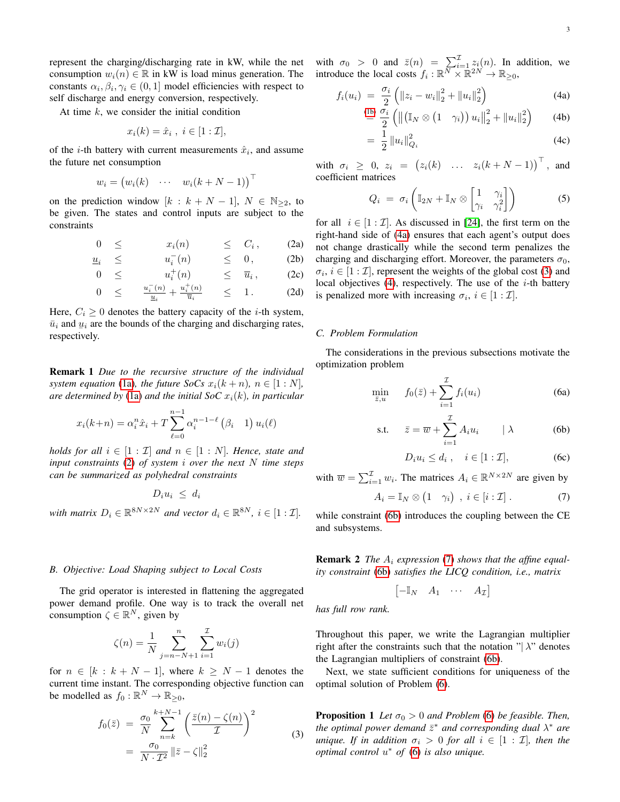represent the charging/discharging rate in kW, while the net consumption  $w_i(n) \in \mathbb{R}$  in kW is load minus generation. The constants  $\alpha_i, \beta_i, \gamma_i \in (0, 1]$  model efficiencies with respect to self discharge and energy conversion, respectively.

At time  $k$ , we consider the initial condition

$$
x_i(k) = \hat{x}_i , i \in [1:\mathcal{I}],
$$

of the *i*-th battery with current measurements  $\hat{x}_i$ , and assume the future net consumption

$$
w_i = (w_i(k) \quad \cdots \quad w_i(k+N-1))^\top
$$

on the prediction window  $[k : k + N - 1], N \in \mathbb{N}_{\geq 2}$ , to be given. The states and control inputs are subject to the constraints

<span id="page-2-0"></span>
$$
0 \leq x_i(n) \leq C_i, \qquad \text{(2a)}
$$

$$
\underline{u}_i \leq u_i \quad (n) \leq 0, \quad (2b)
$$

$$
0 \leq u_i^+(n) \leq \overline{u}_i, \qquad (2c)
$$

$$
0 \leq \frac{u_i^-(n)}{\underline{u}_i} + \frac{u_i^+(n)}{\overline{u}_i} \leq 1. \tag{2d}
$$

Here,  $C_i \geq 0$  denotes the battery capacity of the *i*-th system,  $\bar{u}_i$  and  $u_i$  are the bounds of the charging and discharging rates,  $\sum_{i=1}^{\infty}$  respectively.

Remark 1 *Due to the recursive structure of the individual system equation* [\(1a\)](#page-1-3)*, the future SoCs*  $x_i(k+n)$ *,*  $n \in [1:N]$ *,* are determined by [\(1a\)](#page-1-3) and the initial SoC  $x_i(k)$ , in particular

$$
x_i(k+n) = \alpha_i^n \hat{x}_i + T \sum_{\ell=0}^{n-1} \alpha_i^{n-1-\ell} (\beta_i \quad 1) u_i(\ell)
$$

*holds for all*  $i \in [1 : \mathcal{I}]$  *and*  $n \in [1 : N]$ *. Hence, state and input constraints* [\(2\)](#page-2-0) *of system* i *over the next* N *time steps can be summarized as polyhedral constraints*

$$
D_i u_i \leq d_i
$$

*with matrix*  $D_i \in \mathbb{R}^{8N \times 2N}$  *and vector*  $d_i \in \mathbb{R}^{8N}$ ,  $i \in [1 : \mathcal{I}]$ .

#### *B. Objective: Load Shaping subject to Local Costs*

The grid operator is interested in flattening the aggregated power demand profile. One way is to track the overall net consumption  $\zeta \in \mathbb{R}^N$ , given by

<span id="page-2-2"></span>
$$
\zeta(n) = \frac{1}{N} \sum_{j=n-N+1}^{n} \sum_{i=1}^{N} w_i(j)
$$

for  $n \in [k : k + N - 1]$ , where  $k \ge N - 1$  denotes the current time instant. The corresponding objective function can be modelled as  $f_0: \mathbb{R}^N \to \mathbb{R}_{\geq 0}$ ,

$$
f_0(\bar{z}) = \frac{\sigma_0}{N} \sum_{n=k}^{k+N-1} \left( \frac{\bar{z}(n) - \zeta(n)}{\mathcal{I}} \right)^2
$$
  
= 
$$
\frac{\sigma_0}{N \cdot \mathcal{I}^2} ||\bar{z} - \zeta||_2^2
$$
 (3)

with  $\sigma_0 > 0$  and  $\bar{z}(n) = \sum_{i=1}^{L} z_i(n)$ . In addition, we introduce the local costs  $f_i: \mathbb{R}^N \times \mathbb{R}^{2N} \to \mathbb{R}_{\geq 0}$ ,

$$
f_i(u_i) = \frac{\sigma_i}{2} \left( \|z_i - w_i\|_2^2 + \|u_i\|_2^2 \right)
$$
\n(4a)  
\n
$$
\frac{(\text{lb}) \sigma_i}{\sigma_i} \left( \|z_i - w_i\|_2^2 + \|w_i\|_2^2 \right)
$$
\n(4b)

$$
\stackrel{\text{(lb)}}{=} \frac{\sigma_i}{2} \left( \left\| \left( \mathbb{I}_N \otimes \begin{pmatrix} 1 & \gamma_i \end{pmatrix} \right) u_i \right\|_2^2 + \left\| u_i \right\|_2^2 \right) \tag{4b}
$$

<span id="page-2-3"></span><span id="page-2-1"></span>
$$
= \frac{1}{2} \|u_i\|_{Q_i}^2 \tag{4c}
$$

with  $\sigma_i \geq 0$ ,  $z_i = (z_i(k) \dots z_i(k+N-1))^{\top}$ , and coefficient matrices

$$
Q_i = \sigma_i \left( \mathbb{I}_{2N} + \mathbb{I}_N \otimes \begin{bmatrix} 1 & \gamma_i \\ \gamma_i & \gamma_i^2 \end{bmatrix} \right)
$$
 (5)

for all  $i \in [1 : \mathcal{I}]$ . As discussed in [\[24\]](#page-9-21), the first term on the right-hand side of [\(4a\)](#page-2-1) ensures that each agent's output does not change drastically while the second term penalizes the charging and discharging effort. Moreover, the parameters  $\sigma_0$ ,  $\sigma_i$ ,  $i \in [1 : \mathcal{I}]$ , represent the weights of the global cost [\(3\)](#page-2-2) and local objectives  $(4)$ , respectively. The use of the *i*-th battery is penalized more with increasing  $\sigma_i$ ,  $i \in [1 : \mathcal{I}]$ .

#### *C. Problem Formulation*

 $\bar{z}$ ,

The considerations in the previous subsections motivate the optimization problem

<span id="page-2-6"></span>
$$
\min_{\bar{z},u} \qquad f_0(\bar{z}) + \sum_{i=1}^{\mathcal{I}} f_i(u_i) \tag{6a}
$$

$$
\text{s.t.} \quad \bar{z} = \overline{w} + \sum_{i=1}^{\mathcal{I}} A_i u_i \quad |\lambda \tag{6b}
$$

<span id="page-2-4"></span>
$$
D_i u_i \le d_i , \quad i \in [1 : \mathcal{I}], \tag{6c}
$$

with  $\overline{w} = \sum_{i=1}^{L} w_i$ . The matrices  $A_i \in \mathbb{R}^{N \times 2N}$  are given by

<span id="page-2-7"></span><span id="page-2-5"></span>
$$
A_i = \mathbb{I}_N \otimes (1 \quad \gamma_i) \quad i \in [i : \mathcal{I}]. \tag{7}
$$

while constraint [\(6b\)](#page-2-4) introduces the coupling between the CE and subsystems.

Remark 2 *The* A<sup>i</sup> *expression* [\(7\)](#page-2-5) *shows that the affine equality constraint* [\(6b\)](#page-2-4) *satisfies the LICQ condition, i.e., matrix*

<span id="page-2-8"></span>
$$
\begin{bmatrix} -\mathbb{I}_N & A_1 & \cdots & A_{\mathcal{I}} \end{bmatrix}
$$

*has full row rank.*

Throughout this paper, we write the Lagrangian multiplier right after the constraints such that the notation " $|\lambda$ " denotes the Lagrangian multipliers of constraint [\(6b\)](#page-2-4).

Next, we state sufficient conditions for uniqueness of the optimal solution of Problem [\(6\)](#page-2-6).

**Proposition 1** Let  $\sigma_0 > 0$  and Problem [\(6\)](#page-2-6) be feasible. Then, *the optimal power demand*  $\bar{z}^*$  *and corresponding dual*  $\lambda^*$  *are unique. If in addition*  $\sigma_i > 0$  *for all*  $i \in [1 : \mathcal{I}]$ *, then the optimal control* u <sup>∗</sup> *of* [\(6\)](#page-2-6) *is also unique.*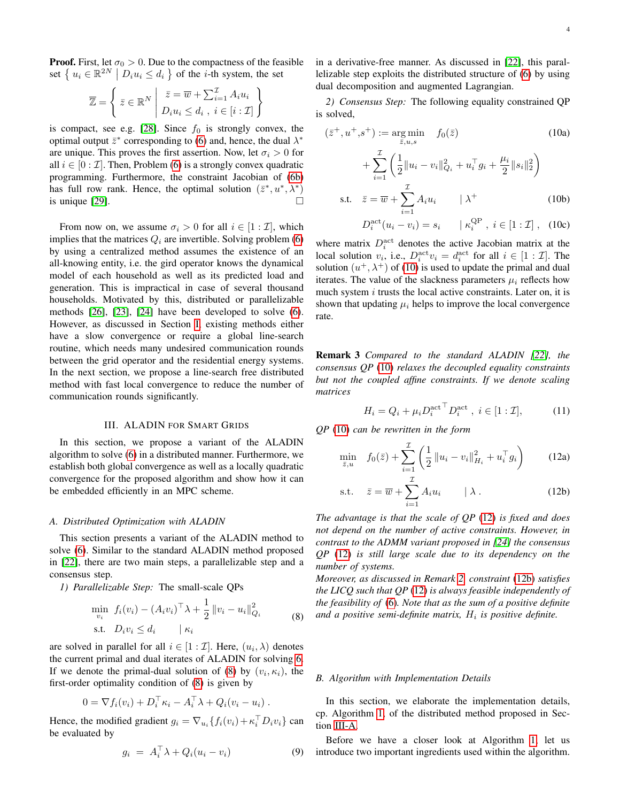**Proof.** First, let  $\sigma_0 > 0$ . Due to the compactness of the feasible set  $\{u_i \in \mathbb{R}^{2N} \mid D_i u_i \leq d_i\}$  of the *i*-th system, the set

$$
\overline{\mathbb{Z}} = \left\{ \left. \overline{z} \in \mathbb{R}^N \; \middle| \; \begin{array}{l} \overline{z} = \overline{w} + \sum_{i=1}^{\mathcal{I}} A_i u_i \\ D_i u_i \leq d_i \; , \; i \in [i : \mathcal{I}] \end{array} \right\}
$$

is compact, see e.g. [\[28\]](#page-9-25). Since  $f_0$  is strongly convex, the optimal output  $\bar{z}^*$  corresponding to [\(6\)](#page-2-6) and, hence, the dual  $\lambda^*$ are unique. This proves the first assertion. Now, let  $\sigma_i > 0$  for all  $i \in [0 : \mathcal{I}]$ . Then, Problem [\(6\)](#page-2-6) is a strongly convex quadratic programming. Furthermore, the constraint Jacobian of [\(6b\)](#page-2-4) has full row rank. Hence, the optimal solution  $(\bar{z}^*, u^*, \lambda^*)$ is unique [\[29\]](#page-9-26).  $\Box$ 

From now on, we assume  $\sigma_i > 0$  for all  $i \in [1 : \mathcal{I}]$ , which implies that the matrices  $Q_i$  are invertible. Solving problem [\(6\)](#page-2-6) by using a centralized method assumes the existence of an all-knowing entity, i.e. the gird operator knows the dynamical model of each household as well as its predicted load and generation. This is impractical in case of several thousand households. Motivated by this, distributed or parallelizable methods [\[26\]](#page-9-23), [\[23\]](#page-9-20), [\[24\]](#page-9-21) have been developed to solve [\(6\)](#page-2-6). However, as discussed in Section [I,](#page-0-0) existing methods either have a slow convergence or require a global line-search routine, which needs many undesired communication rounds between the grid operator and the residential energy systems. In the next section, we propose a line-search free distributed method with fast local convergence to reduce the number of communication rounds significantly.

### III. ALADIN FOR SMART GRIDS

<span id="page-3-0"></span>In this section, we propose a variant of the ALADIN algorithm to solve [\(6\)](#page-2-6) in a distributed manner. Furthermore, we establish both global convergence as well as a locally quadratic convergence for the proposed algorithm and show how it can be embedded efficiently in an MPC scheme.

#### <span id="page-3-5"></span>*A. Distributed Optimization with ALADIN*

This section presents a variant of the ALADIN method to solve [\(6\)](#page-2-6). Similar to the standard ALADIN method proposed in [\[22\]](#page-9-19), there are two main steps, a parallelizable step and a consensus step.

<span id="page-3-1"></span>*1) Parallelizable Step:* The small-scale QPs

$$
\min_{v_i} f_i(v_i) - (A_i v_i)^{\top} \lambda + \frac{1}{2} ||v_i - u_i||_{Q_i}^2
$$
\ns.t.

\n
$$
D_i v_i \leq d_i \quad | \kappa_i \quad (8)
$$

are solved in parallel for all  $i \in [1 : \mathcal{I}]$ . Here,  $(u_i, \lambda)$  denotes the current primal and dual iterates of ALADIN for solving [6.](#page-2-6) If we denote the primal-dual solution of [\(8\)](#page-3-1) by  $(v_i, \kappa_i)$ , the first-order optimality condition of [\(8\)](#page-3-1) is given by

$$
0 = \nabla f_i(v_i) + D_i^{\top} \kappa_i - A_i^{\top} \lambda + Q_i(v_i - u_i) .
$$

Hence, the modified gradient  $g_i = \nabla_{u_i} \{ f_i(v_i) + \kappa_i^{\top} D_i v_i \}$  can be evaluated by

$$
g_i = A_i^{\top} \lambda + Q_i (u_i - v_i) \tag{9}
$$

in a derivative-free manner. As discussed in [\[22\]](#page-9-19), this parallelizable step exploits the distributed structure of [\(6\)](#page-2-6) by using dual decomposition and augmented Lagrangian.

*2) Consensus Step:* The following equality constrained QP is solved,

<span id="page-3-2"></span>
$$
(\bar{z}^+, u^+, s^+) := \underset{\bar{z}, u, s}{\arg \min} f_0(\bar{z}) \qquad (10a)
$$
  
+ 
$$
\sum_{i=1}^{\mathcal{I}} \left( \frac{1}{2} \| u_i - v_i \|_{Q_i}^2 + u_i^\top g_i + \frac{\mu_i}{2} \| s_i \|_2^2 \right)
$$
  
s.t. 
$$
\bar{z} = \bar{w} + \sum_{i=1}^{\mathcal{I}} A_i u_i \qquad | \lambda^+ \qquad (10b)
$$
  

$$
D^{\text{act}}(u_i - v_i) = \varepsilon, \qquad | e^{\text{QP}} \quad i \in [1 : \mathcal{I}] \qquad (10c)
$$

$$
D_i^{\text{act}}(u_i - v_i) = s_i \qquad \kappa_i^{\text{QP}}, \ i \in [1 : \mathcal{I}], \ \ (10c)
$$

where matrix  $D_i^{\text{act}}$  denotes the active Jacobian matrix at the local solution  $v_i$ , i.e.,  $D_i^{\text{act}} v_i = d_i^{\text{act}}$  for all  $i \in [1 : \mathcal{I}]$ . The solution  $(u^+, \lambda^+)$  of [\(10\)](#page-3-2) is used to update the primal and dual iterates. The value of the slackness parameters  $\mu_i$  reflects how much system  $i$  trusts the local active constraints. Later on, it is shown that updating  $\mu_i$  helps to improve the local convergence rate.

Remark 3 *Compared to the standard ALADIN [\[22\]](#page-9-19), the consensus QP* [\(10\)](#page-3-2) *relaxes the decoupled equality constraints but not the coupled affine constraints. If we denote scaling matrices*

<span id="page-3-4"></span><span id="page-3-3"></span>
$$
H_i = Q_i + \mu_i D_i^{\text{act}} D_i^{\text{act}}, \ i \in [1 : \mathcal{I}], \tag{11}
$$

*QP* [\(10\)](#page-3-2) *can be rewritten in the form*

$$
\min_{\bar{z},u} \quad f_0(\bar{z}) + \sum_{i=1}^{L} \left( \frac{1}{2} ||u_i - v_i||_{H_i}^2 + u_i^{\top} g_i \right) \tag{12a}
$$

$$
\text{s.t.} \quad \bar{z} = \overline{w} + \sum_{i=1}^{\mathcal{I}} A_i u_i \qquad \mid \lambda \,. \tag{12b}
$$

*The advantage is that the scale of QP* [\(12\)](#page-3-3) *is fixed and does not depend on the number of active constraints. However, in contrast to the ADMM variant proposed in [\[24\]](#page-9-21) the consensus QP* [\(12\)](#page-3-3) *is still large scale due to its dependency on the number of systems.*

*Moreover, as discussed in Remark [2,](#page-2-7) constraint* [\(12b\)](#page-3-4) *satisfies the LICQ such that QP* [\(12\)](#page-3-3) *is always feasible independently of the feasibility of* [\(6\)](#page-2-6)*. Note that as the sum of a positive definite* and a positive semi-definite matrix,  $H_i$  is positive definite.

### <span id="page-3-6"></span>*B. Algorithm with Implementation Details*

In this section, we elaborate the implementation details, cp. Algorithm [1,](#page-4-0) of the distributed method proposed in Section [III-A.](#page-3-5)

Before we have a closer look at Algorithm [1,](#page-4-0) let us introduce two important ingredients used within the algorithm.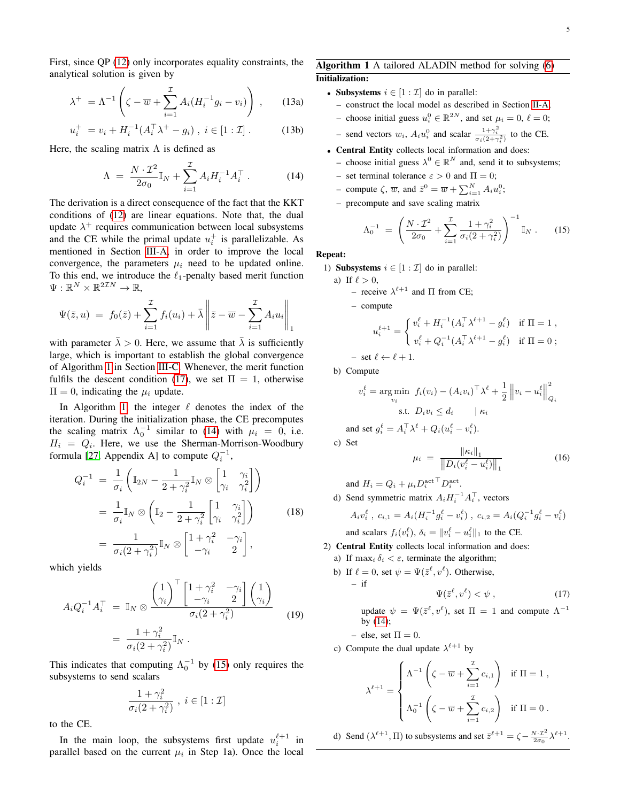First, since QP [\(12\)](#page-3-3) only incorporates equality constraints, the analytical solution is given by

$$
\lambda^+ = \Lambda^{-1} \left( \zeta - \overline{w} + \sum_{i=1}^{\mathcal{I}} A_i (H_i^{-1} g_i - v_i) \right) , \qquad (13a)
$$

$$
u_i^+ = v_i + H_i^{-1}(A_i^{\top} \lambda^+ - g_i) , i \in [1 : \mathcal{I}]. \tag{13b}
$$

Here, the scaling matrix  $\Lambda$  is defined as

<span id="page-4-2"></span>
$$
\Lambda = \frac{N \cdot \mathcal{I}^2}{2\sigma_0} \mathbb{I}_N + \sum_{i=1}^{\mathcal{I}} A_i H_i^{-1} A_i^{\top} . \tag{14}
$$

The derivation is a direct consequence of the fact that the KKT conditions of [\(12\)](#page-3-3) are linear equations. Note that, the dual update  $\lambda^+$  requires communication between local subsystems and the CE while the primal update  $u_i^+$  is parallelizable. As mentioned in Section [III-A,](#page-3-5) in order to improve the local convergence, the parameters  $\mu_i$  need to be updated online. To this end, we introduce the  $\ell_1$ -penalty based merit function  $\Psi: \mathbb{R}^N \times \mathbb{R}^{2\mathcal{I}N} \to \mathbb{R},$ 

$$
\Psi(\bar{z}, u) = f_0(\bar{z}) + \sum_{i=1}^{\mathcal{I}} f_i(u_i) + \bar{\lambda} \left\| \bar{z} - \overline{w} - \sum_{i=1}^{\mathcal{I}} A_i u_i \right\|_1
$$

with parameter  $\overline{\lambda} > 0$ . Here, we assume that  $\overline{\lambda}$  is sufficiently large, which is important to establish the global convergence of Algorithm [1](#page-4-0) in Section [III-C.](#page-5-1) Whenever, the merit function fulfils the descent condition [\(17\)](#page-4-1), we set  $\Pi = 1$ , otherwise  $\Pi = 0$ , indicating the  $\mu_i$  update.

In Algorithm [1,](#page-4-0) the integer  $\ell$  denotes the index of the iteration. During the initialization phase, the CE precomputes the scaling matrix  $\Lambda_0^{-1}$  similar to [\(14\)](#page-4-2) with  $\mu_i = 0$ , i.e.  $H_i = Q_i$ . Here, we use the Sherman-Morrison-Woodbury formula [\[27,](#page-9-24) Appendix A] to compute  $Q_i^{-1}$ ,

$$
Q_i^{-1} = \frac{1}{\sigma_i} \left( \mathbb{I}_{2N} - \frac{1}{2 + \gamma_i^2} \mathbb{I}_N \otimes \begin{bmatrix} 1 & \gamma_i \\ \gamma_i & \gamma_i^2 \end{bmatrix} \right)
$$
  
= 
$$
\frac{1}{\sigma_i} \mathbb{I}_N \otimes \left( \mathbb{I}_2 - \frac{1}{2 + \gamma_i^2} \begin{bmatrix} 1 & \gamma_i \\ \gamma_i & \gamma_i^2 \end{bmatrix} \right)
$$
 (18)  
= 
$$
\frac{1}{\sigma_i (2 + \gamma_i^2)} \mathbb{I}_N \otimes \begin{bmatrix} 1 + \gamma_i^2 & -\gamma_i \\ -\gamma_i & 2 \end{bmatrix},
$$

which yields

$$
A_i Q_i^{-1} A_i^{\top} = \mathbb{I}_N \otimes \frac{\left(\begin{array}{c} 1\\ \gamma_i \end{array}\right)^{\top} \left[\begin{array}{cc} 1+\gamma_i^2 & -\gamma_i\\ -\gamma_i & 2 \end{array}\right] \left(\begin{array}{c} 1\\ \gamma_i \end{array}\right)}{\sigma_i (2+\gamma_i^2)} = \frac{1+\gamma_i^2}{\sigma_i (2+\gamma_i^2)} \mathbb{I}_N .
$$
\n(19)

This indicates that computing  $\Lambda_0^{-1}$  by [\(15\)](#page-4-3) only requires the subsystems to send scalars

$$
\frac{1+\gamma_i^2}{\sigma_i(2+\gamma_i^2)} , i \in [1:\mathcal{I}]
$$

to the CE.

In the main loop, the subsystems first update  $u_i^{\ell+1}$  in parallel based on the current  $\mu_i$  in Step 1a). Once the local <span id="page-4-0"></span>Algorithm 1 A tailored ALADIN method for solving [\(6\)](#page-2-6) Initialization:

- Subsystems  $i \in [1 : \mathcal{I}]$  do in parallel:
	- construct the local model as described in Section [II-A;](#page-1-5)
	- choose initial guess  $u_i^0 \in \mathbb{R}^{2N}$ , and set  $\mu_i = 0$ ,  $\ell = 0$ ;
	- send vectors  $w_i$ ,  $A_i u_i^0$  and scalar  $\frac{1+\gamma_i^2}{\sigma_i(2+\gamma_i^2)}$  to the CE.
- Central Entity collects local information and does:
- choose initial guess  $\lambda^0 \in \mathbb{R}^N$  and, send it to subsystems;
- set terminal tolerance  $\varepsilon > 0$  and  $\Pi = 0$ ;
- compute  $\zeta$ ,  $\overline{w}$ , and  $\overline{z}^0 = \overline{w} + \sum_{i=1}^{N} A_i u_i^0$ ;
- precompute and save scaling matrix

<span id="page-4-3"></span>
$$
\Lambda_0^{-1} = \left( \frac{N \cdot \mathcal{I}^2}{2\sigma_0} + \sum_{i=1}^{\mathcal{I}} \frac{1 + \gamma_i^2}{\sigma_i (2 + \gamma_i^2)} \right)^{-1} \mathbb{I}_N . \tag{15}
$$

Repeat:

- 1) Subsystems  $i \in [1 : \mathcal{I}]$  do in parallel:
	- a) If  $\ell > 0$ , – receive  $\lambda^{\ell+1}$  and  $\Pi$  from CE;

– compute

$$
u_i^{\ell+1} = \begin{cases} v_i^{\ell} + H_i^{-1} (A_i^{\top} \lambda^{\ell+1} - g_i^{\ell}) & \text{if } \Pi = 1 , \\ v_i^{\ell} + Q_i^{-1} (A_i^{\top} \lambda^{\ell+1} - g_i^{\ell}) & \text{if } \Pi = 0 ; \end{cases}
$$
  
- set  $\ell \leftarrow \ell + 1$ .

b) Compute

$$
v_i^{\ell} = \underset{v_i}{\text{arg min}} \quad f_i(v_i) - (A_i v_i)^{\top} \lambda^{\ell} + \frac{1}{2} \left\| v_i - u_i^{\ell} \right\|_{Q_i}^2
$$
  
s.t.  $D_i v_i \le d_i \qquad |\kappa_i|$ 

and set  $g_i^{\ell} = A_i^{\top} \lambda^{\ell} + Q_i (u_i^{\ell} - v_i^{\ell}).$ 

c) Set

 $\overline{\mathcal{A}}$ 

– if

<span id="page-4-4"></span>
$$
\mu_i = \frac{\|\kappa_i\|_1}{\|D_i(v_i^{\ell} - u_i^{\ell})\|_1}
$$
\n(16)

and 
$$
H_i = Q_i + \mu_i D_i^{\text{act}} D_i^{\text{act}}
$$
.  
0. Send symmetric matrix  $A_i H^{-1} A^\top$ 

d) Send symmetric matrix 
$$
A_i H_i^{-1} A_i^{\dagger}
$$
, vectors

$$
A_i v_i^{\ell}, c_{i,1} = A_i (H_i^{-1} g_i^{\ell} - v_i^{\ell}), c_{i,2} = A_i (Q_i^{-1} g_i^{\ell} - v_i^{\ell})
$$
  
and scalars  $f_i(v_i^{\ell}), \delta_i = ||v_i^{\ell} - u_i^{\ell}||_1$  to the CE.

- 2) Central Entity collects local information and does:
	- a) If  $\max_i \delta_i < \varepsilon$ , terminate the algorithm;
	- b) If  $\ell = 0$ , set  $\psi = \Psi(\bar{z}^{\ell}, v^{\ell})$ . Otherwise,

<span id="page-4-1"></span>
$$
\Psi(\bar{z}^{\ell}, v^{\ell}) < \psi , \qquad (17)
$$

update 
$$
\psi = \Psi(\bar{z}^{\ell}, v^{\ell})
$$
, set  $\Pi = 1$  and compute  $\Lambda^{-1}$   
by (14);

– else, set  $\Pi = 0$ .

c) Compute the dual update  $\lambda^{\ell+1}$  by

$$
\lambda^{\ell+1} = \begin{cases} \Lambda^{-1} \left( \zeta - \overline{w} + \sum_{i=1}^{\mathcal{I}} c_{i,1} \right) & \text{if } \Pi = 1 ,\\ \\ \Lambda_0^{-1} \left( \zeta - \overline{w} + \sum_{i=1}^{\mathcal{I}} c_{i,2} \right) & \text{if } \Pi = 0 . \end{cases}
$$

d) Send  $(\lambda^{\ell+1}, \Pi)$  to subsystems and set  $\bar{z}^{\ell+1} = \zeta - \frac{N \cdot \mathcal{I}^2}{2\sigma_0} \lambda^{\ell+1}$ .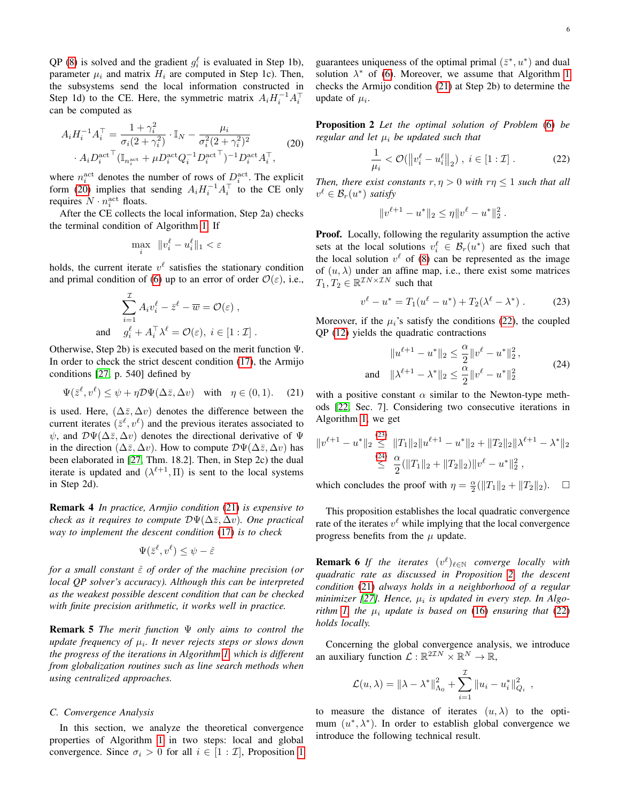QP [\(8\)](#page-3-1) is solved and the gradient  $g_i^{\ell}$  is evaluated in Step 1b), parameter  $\mu_i$  and matrix  $H_i$  are computed in Step 1c). Then, the subsystems send the local information constructed in Step 1d) to the CE. Here, the symmetric matrix  $A_i H_i^{-1} A_i^{\top}$ can be computed as

<span id="page-5-2"></span>
$$
A_i H_i^{-1} A_i^{\top} = \frac{1 + \gamma_i^2}{\sigma_i (2 + \gamma_i^2)} \cdot \mathbb{I}_N - \frac{\mu_i}{\sigma_i^2 (2 + \gamma_i^2)^2} \cdot A_i D_i^{\text{act}} (\mathbb{I}_{n_i^{\text{act}}} + \mu D_i^{\text{act}} Q_i^{-1} D_i^{\text{act}})^{-1} D_i^{\text{act}} A_i^{\top},
$$
\n(20)

where  $n_i^{\text{act}}$  denotes the number of rows of  $D_i^{\text{act}}$ . The explicit form [\(20\)](#page-5-2) implies that sending  $A_i H_i^{-1} A_i^{\top}$  to the CE only requires  $N \cdot n_i^{\text{act}}$  floats.

After the CE collects the local information, Step 2a) checks the terminal condition of Algorithm [1.](#page-4-0) If

$$
\max_{i} \quad ||v_i^{\ell} - u_i^{\ell}||_1 < \varepsilon
$$

holds, the current iterate  $v^{\ell}$  satisfies the stationary condition and primal condition of [\(6\)](#page-2-6) up to an error of order  $\mathcal{O}(\varepsilon)$ , i.e.,

$$
\sum_{i=1}^{\mathcal{I}} A_i v_i^{\ell} - \bar{z}^{\ell} - \overline{w} = \mathcal{O}(\varepsilon) ,
$$
  
and 
$$
g_i^{\ell} + A_i^{\top} \lambda^{\ell} = \mathcal{O}(\varepsilon), i \in [1:\mathcal{I}].
$$

Otherwise, Step 2b) is executed based on the merit function Ψ. In order to check the strict descent condition [\(17\)](#page-4-1), the Armijo conditions [\[27,](#page-9-24) p. 540] defined by

<span id="page-5-3"></span>
$$
\Psi(\bar{z}^{\ell}, v^{\ell}) \le \psi + \eta \mathcal{D}\Psi(\Delta \bar{z}, \Delta v) \quad \text{with} \quad \eta \in (0, 1). \tag{21}
$$

is used. Here,  $(\Delta \bar{z}, \Delta v)$  denotes the difference between the current iterates  $(\bar{z}^{\ell}, v^{\ell})$  and the previous iterates associated to  $\psi$ , and  $\mathcal{D}\Psi(\Delta\bar{z}, \Delta v)$  denotes the directional derivative of  $\Psi$ in the direction ( $\Delta \bar{z}, \Delta v$ ). How to compute  $\mathcal{D}\Psi(\Delta \bar{z}, \Delta v)$  has been elaborated in [\[27,](#page-9-24) Thm. 18.2]. Then, in Step 2c) the dual iterate is updated and  $(\lambda^{\ell+1}, \Pi)$  is sent to the local systems in Step 2d).

Remark 4 *In practice, Armjio condition* [\(21\)](#page-5-3) *is expensive to check as it requires to compute*  $D\Psi(\Delta\bar{z}, \Delta v)$ *. One practical way to implement the descent condition* [\(17\)](#page-4-1) *is to check*

$$
\Psi(\bar{z}^\ell, v^\ell) \leq \psi - \hat{\varepsilon}
$$

*for a small constant*  $\hat{\epsilon}$  *of order of the machine precision (or local QP solver's accuracy). Although this can be interpreted as the weakest possible descent condition that can be checked with finite precision arithmetic, it works well in practice.*

Remark 5 *The merit function* Ψ *only aims to control the update frequency of* µ<sup>i</sup> *. It never rejects steps or slows down the progress of the iterations in Algorithm [1,](#page-4-0) which is different from globalization routines such as line search methods when using centralized approaches.*

### <span id="page-5-1"></span>*C. Convergence Analysis*

In this section, we analyze the theoretical convergence properties of Algorithm [1](#page-4-0) in two steps: local and global convergence. Since  $\sigma_i > 0$  for all  $i \in [1 : \mathcal{I}]$  $i \in [1 : \mathcal{I}]$  $i \in [1 : \mathcal{I}]$ , Proposition 1

guarantees uniqueness of the optimal primal  $(\bar{z}^*, u^*)$  and dual solution  $\lambda^*$  of [\(6\)](#page-2-6). Moreover, we assume that Algorithm [1](#page-4-0) checks the Armijo condition [\(21\)](#page-5-3) at Step 2b) to determine the update of  $\mu_i$ .

Proposition 2 *Let the optimal solution of Problem* [\(6\)](#page-2-6) *be regular and let*  $\mu_i$  *be updated such that* 

<span id="page-5-4"></span><span id="page-5-0"></span>
$$
\frac{1}{\mu_i} < \mathcal{O}(\left\|v_i^{\ell} - u_i^{\ell}\right\|_2), \ i \in [1:\mathcal{I}]. \tag{22}
$$

*Then, there exist constants*  $r, \eta > 0$  *with*  $r\eta \leq 1$  *such that all*  $v^{\ell} \in \mathcal{B}_r(u^*)$  satisfy

$$
||v^{\ell+1} - u^*||_2 \leq \eta ||v^{\ell} - u^*||_2^2.
$$

Proof. Locally, following the regularity assumption the active sets at the local solutions  $v_i^{\ell} \in \mathcal{B}_r(u^*)$  are fixed such that the local solution  $v^{\ell}$  of [\(8\)](#page-3-1) can be represented as the image of  $(u, \lambda)$  under an affine map, i.e., there exist some matrices  $T_1, T_2 \in \mathbb{R}^{\mathcal{I}N \times \mathcal{I}N}$  such that

<span id="page-5-5"></span>
$$
v^{\ell} - u^* = T_1(u^{\ell} - u^*) + T_2(\lambda^{\ell} - \lambda^*) . \tag{23}
$$

Moreover, if the  $\mu_i$ 's satisfy the conditions [\(22\)](#page-5-4), the coupled QP [\(12\)](#page-3-3) yields the quadratic contractions

$$
||u^{\ell+1} - u^*||_2 \le \frac{\alpha}{2} ||v^{\ell} - u^*||_2^2,
$$
  
and 
$$
||\lambda^{\ell+1} - \lambda^*||_2 \le \frac{\alpha}{2} ||v^{\ell} - u^*||_2^2
$$
 (24)

<span id="page-5-6"></span>with a positive constant  $\alpha$  similar to the Newton-type methods [\[22,](#page-9-19) Sec. 7]. Considering two consecutive iterations in Algorithm [1,](#page-4-0) we get

$$
||v^{\ell+1} - u^*||_2 \leq ||T_1||_2 ||u^{\ell+1} - u^*||_2 + ||T_2||_2 ||\lambda^{\ell+1} - \lambda^*||_2
$$
  

$$
\leq \frac{24}{2} (||T_1||_2 + ||T_2||_2) ||v^{\ell} - u^*||_2^2,
$$

which concludes the proof with  $\eta = \frac{\alpha}{2}(\|T_1\|_2 + \|T_2\|_2)$ .  $\Box$ 

This proposition establishes the local quadratic convergence rate of the iterates  $v^{\ell}$  while implying that the local convergence progress benefits from the  $\mu$  update.

**Remark 6** If the iterates  $(v^{\ell})_{\ell \in \mathbb{N}}$  converge locally with *quadratic rate as discussed in Proposition [2,](#page-5-0) the descent condition* [\(21\)](#page-5-3) *always holds in a neighborhood of a regular minimizer* [\[27\]](#page-9-24). Hence, μ<sub>i</sub> is updated in every step. In Algo*rithm* [1,](#page-4-0) the  $\mu_i$  *update is based on* [\(16\)](#page-4-4) *ensuring that* [\(22\)](#page-5-4) *holds locally.*

Concerning the global convergence analysis, we introduce an auxiliary function  $\mathcal{L}: \mathbb{R}^{2\mathcal{I}N} \times \mathbb{R}^N \to \mathbb{R}$ ,

$$
\mathcal{L}(u, \lambda) = ||\lambda - \lambda^*||_{\Lambda_0}^2 + \sum_{i=1}^{\mathcal{I}} ||u_i - u_i^*||_{Q_i}^2
$$

<span id="page-5-7"></span>,

to measure the distance of iterates  $(u, \lambda)$  to the optimum  $(u^*, \lambda^*)$ . In order to establish global convergence we introduce the following technical result.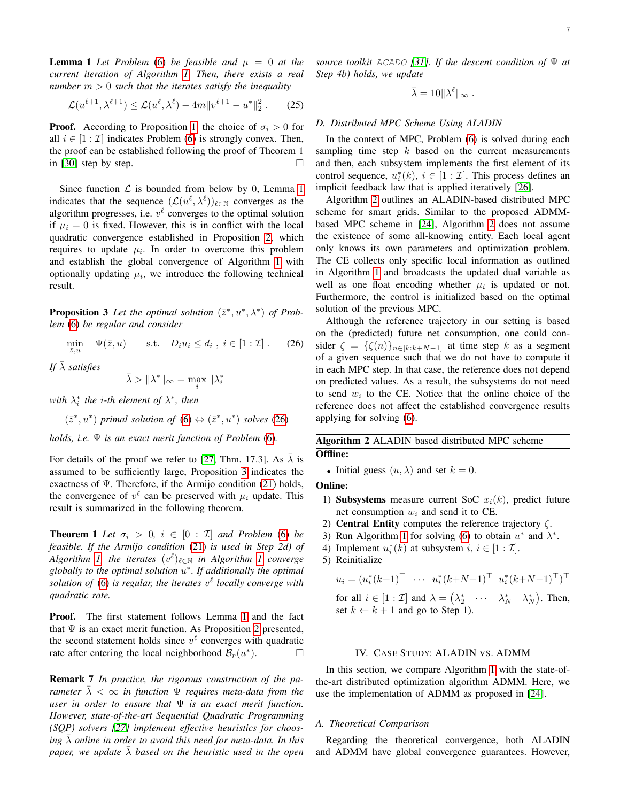**Lemma 1** Let Problem [\(6\)](#page-2-6) be feasible and  $\mu = 0$  at the *current iteration of Algorithm [1.](#page-4-0) Then, there exists a real number*  $m > 0$  *such that the iterates satisfy the inequality* 

$$
\mathcal{L}(u^{\ell+1}, \lambda^{\ell+1}) \le \mathcal{L}(u^{\ell}, \lambda^{\ell}) - 4m \|v^{\ell+1} - u^*\|_2^2. \qquad (25)
$$

**Proof.** According to Proposition [1,](#page-2-8) the choice of  $\sigma_i > 0$  for all  $i \in [1 : \mathcal{I}]$  indicates Problem [\(6\)](#page-2-6) is strongly convex. Then, the proof can be established following the proof of Theorem 1 in [\[30\]](#page-9-27) step by step.

Since function  $\mathcal L$  is bounded from below by 0, Lemma [1](#page-5-7) indicates that the sequence  $(\mathcal{L}(u^{\ell}, \lambda^{\ell}))_{\ell \in \mathbb{N}}$  converges as the algorithm progresses, i.e.  $v^{\ell}$  converges to the optimal solution if  $\mu_i = 0$  is fixed. However, this is in conflict with the local quadratic convergence established in Proposition [2,](#page-5-0) which requires to update  $\mu_i$ . In order to overcome this problem and establish the global convergence of Algorithm [1](#page-4-0) with optionally updating  $\mu_i$ , we introduce the following technical result.

<span id="page-6-2"></span>**Proposition 3** Let the optimal solution  $(\bar{z}^*, u^*, \lambda^*)$  of Prob*lem* [\(6\)](#page-2-6) *be regular and consider*

$$
\min_{\bar{z},u} \quad \Psi(\bar{z},u) \qquad \text{s.t.} \quad D_i u_i \le d_i \ , \ i \in [1:\mathcal{I}] \ . \tag{26}
$$

*If*  $\bar{\lambda}$  *satisfies* 

$$
\bar{\lambda} > \|\lambda^*\|_\infty = \max_i \, |\lambda_i^*|
$$

with  $\lambda_i^*$  the *i*-th element of  $\lambda^*$ , then

$$
(\bar{z}^*, u^*)
$$
 primal solution of (6)  $\Leftrightarrow (\bar{z}^*, u^*)$  solves (26)

*holds, i.e.* Ψ *is an exact merit function of Problem* [\(6\)](#page-2-6)*.*

For details of the proof we refer to [\[27,](#page-9-24) Thm. 17.3]. As  $\lambda$  is assumed to be sufficiently large, Proposition [3](#page-6-2) indicates the exactness of  $\Psi$ . Therefore, if the Armijo condition [\(21\)](#page-5-3) holds, the convergence of  $v^{\ell}$  can be preserved with  $\mu_i$  update. This result is summarized in the following theorem.

**Theorem 1** *Let*  $\sigma_i > 0$ ,  $i \in [0 : \mathcal{I}]$  *and Problem* [\(6\)](#page-2-6) *be feasible. If the Armijo condition* [\(21\)](#page-5-3) *is used in Step 2d) of*  $Algorithm$  *I*, the iterates  $(v^{\ell})_{\ell \in \mathbb{N}}$  in Algorithm *1* converge *globally to the optimal solution* u ∗ *. If additionally the optimal* solution of  $(6)$  is regular, the iterates  $v^{\ell}$  locally converge with *quadratic rate.*

Proof. The first statement follows Lemma [1](#page-5-7) and the fact that  $\Psi$  is an exact merit function. As Proposition [2](#page-5-0) presented, the second statement holds since  $v^{\ell}$  converges with quadratic rate after entering the local neighborhood  $\mathcal{B}_r(u^*)$  $\Box$ 

Remark 7 *In practice, the rigorous construction of the parameter*  $\overline{\lambda} < \infty$  *in function*  $\Psi$  *requires meta-data from the user in order to ensure that* Ψ *is an exact merit function. However, state-of-the-art Sequential Quadratic Programming (SQP) solvers [\[27\]](#page-9-24) implement effective heuristics for choos*ing  $\lambda$  *online in order to avoid this need for meta-data. In this paper, we update*  $\overline{\lambda}$  *based on the heuristic used in the open*  *source toolkit* ACADO *[\[31\]](#page-9-28). If the descent condition of* Ψ *at Step 4b) holds, we update*

$$
\bar{\lambda} = 10 \|\lambda^{\ell}\|_{\infty} .
$$

# *D. Distributed MPC Scheme Using ALADIN*

In the context of MPC, Problem [\(6\)](#page-2-6) is solved during each sampling time step  $k$  based on the current measurements and then, each subsystem implements the first element of its control sequence,  $u_i^*(k)$ ,  $i \in [1 : \mathcal{I}]$ . This process defines an implicit feedback law that is applied iteratively [\[26\]](#page-9-23).

Algorithm [2](#page-6-3) outlines an ALADIN-based distributed MPC scheme for smart grids. Similar to the proposed ADMMbased MPC scheme in [\[24\]](#page-9-21), Algorithm [2](#page-6-3) does not assume the existence of some all-knowing entity. Each local agent only knows its own parameters and optimization problem. The CE collects only specific local information as outlined in Algorithm [1](#page-4-0) and broadcasts the updated dual variable as well as one float encoding whether  $\mu_i$  is updated or not. Furthermore, the control is initialized based on the optimal solution of the previous MPC.

<span id="page-6-1"></span>Although the reference trajectory in our setting is based on the (predicted) future net consumption, one could consider  $\zeta = {\{\zeta(n)\}}_{n\in[k:k+N-1]}$  at time step k as a segment of a given sequence such that we do not have to compute it in each MPC step. In that case, the reference does not depend on predicted values. As a result, the subsystems do not need to send  $w_i$  to the CE. Notice that the online choice of the reference does not affect the established convergence results applying for solving [\(6\)](#page-2-6).

<span id="page-6-3"></span>Algorithm 2 ALADIN based distributed MPC scheme Offline:

• Initial guess  $(u, \lambda)$  and set  $k = 0$ .

Online:

- 1) Subsystems measure current SoC  $x_i(k)$ , predict future net consumption  $w_i$  and send it to CE.
- 2) **Central Entity** computes the reference trajectory  $\zeta$ .
- 3) Run Algorithm [1](#page-4-0) for solving [\(6\)](#page-2-6) to obtain  $u^*$  and  $\lambda^*$ .
- 4) Implement  $u_i^*(k)$  at subsystem  $i, i \in [1 : \mathcal{I}]$ .
- 5) Reinitialize

$$
u_i = (u_i^*(k+1)^\top \cdots u_i^*(k+N-1)^\top u_i^*(k+N-1)^\top)^\top
$$

for all 
$$
i \in [1 : \mathcal{I}]
$$
 and  $\lambda = (\lambda_2^* \cdots \lambda_N^* \lambda_N^*)$ . Then,  
set  $k \leftarrow k + 1$  and go to Step 1).

### IV. CASE STUDY: ALADIN VS. ADMM

<span id="page-6-0"></span>In this section, we compare Algorithm [1](#page-4-0) with the state-ofthe-art distributed optimization algorithm ADMM. Here, we use the implementation of ADMM as proposed in [\[24\]](#page-9-21).

# *A. Theoretical Comparison*

Regarding the theoretical convergence, both ALADIN and ADMM have global convergence guarantees. However,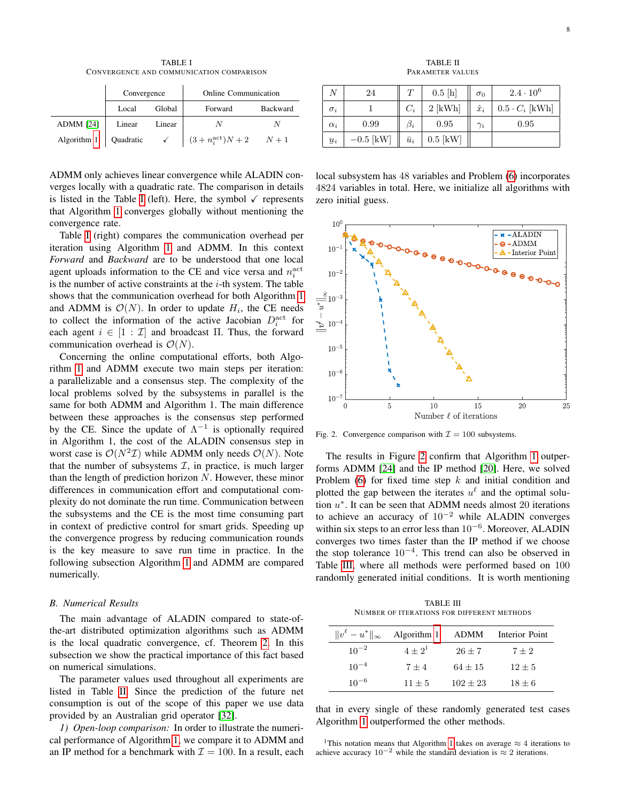TABLE I CONVERGENCE AND COMMUNICATION COMPARISON

<span id="page-7-0"></span>

|                              | Convergence |              | <b>Online Communication</b> |                 |  |
|------------------------------|-------------|--------------|-----------------------------|-----------------|--|
|                              | Local       | Global       | Forward                     | <b>Backward</b> |  |
| ADMM [24]                    | Linear      | Linear       |                             |                 |  |
| Algorithm $1 \mid$ Quadratic |             | $\checkmark$ | $(3+n_i^{\text{act}})N+2$   | $N+1$           |  |

ADMM only achieves linear convergence while ALADIN converges locally with a quadratic rate. The comparison in details is listed in the Table [I](#page-7-0) (left). Here, the symbol  $\checkmark$  represents that Algorithm [1](#page-4-0) converges globally without mentioning the convergence rate.

Table [I](#page-7-0) (right) compares the communication overhead per iteration using Algorithm [1](#page-4-0) and ADMM. In this context *Forward* and *Backward* are to be understood that one local agent uploads information to the CE and vice versa and  $n_i^{\text{act}}$ is the number of active constraints at the  $i$ -th system. The table shows that the communication overhead for both Algorithm [1](#page-4-0) and ADMM is  $\mathcal{O}(N)$ . In order to update  $H_i$ , the CE needs to collect the information of the active Jacobian  $D_i^{\text{act}}$  for each agent  $i \in [1 : \mathcal{I}]$  and broadcast Π. Thus, the forward communication overhead is  $\mathcal{O}(N)$ .

Concerning the online computational efforts, both Algorithm [1](#page-4-0) and ADMM execute two main steps per iteration: a parallelizable and a consensus step. The complexity of the local problems solved by the subsystems in parallel is the same for both ADMM and Algorithm 1. The main difference between these approaches is the consensus step performed by the CE. Since the update of  $\Lambda^{-1}$  is optionally required in Algorithm 1, the cost of the ALADIN consensus step in worst case is  $\mathcal{O}(N^2\mathcal{I})$  while ADMM only needs  $\mathcal{O}(N)$ . Note that the number of subsystems  $I$ , in practice, is much larger than the length of prediction horizon  $N$ . However, these minor differences in communication effort and computational complexity do not dominate the run time. Communication between the subsystems and the CE is the most time consuming part in context of predictive control for smart grids. Speeding up the convergence progress by reducing communication rounds is the key measure to save run time in practice. In the following subsection Algorithm [1](#page-4-0) and ADMM are compared numerically.

#### *B. Numerical Results*

The main advantage of ALADIN compared to state-ofthe-art distributed optimization algorithms such as ADMM is the local quadratic convergence, cf. Theorem [2.](#page-5-0) In this subsection we show the practical importance of this fact based on numerical simulations.

The parameter values used throughout all experiments are listed in Table [II.](#page-7-1) Since the prediction of the future net consumption is out of the scope of this paper we use data provided by an Australian grid operator [\[32\]](#page-9-29).

*1) Open-loop comparison:* In order to illustrate the numerical performance of Algorithm [1,](#page-4-0) we compare it to ADMM and an IP method for a benchmark with  $\mathcal{I} = 100$ . In a result, each

TABLE II PARAMETER VALUES

<span id="page-7-1"></span>

|            | 24          |             | 0.5[h]     | $\sigma_0$  | $2.4 \cdot 10^{6}$    |
|------------|-------------|-------------|------------|-------------|-----------------------|
| $\sigma_i$ |             | $C_i$       | $2$ [kWh]  | $\hat{x}_i$ | $0.5 \cdot C_i$ [kWh] |
| $\alpha_i$ | 0.99        | $\beta_i$   | 0.95       | $\gamma_i$  | 0.95                  |
| $u_i$      | $-0.5$ [kW] | $\bar{u}_i$ | $0.5$ [kW] |             |                       |

local subsystem has 48 variables and Problem [\(6\)](#page-2-6) incorporates 4824 variables in total. Here, we initialize all algorithms with zero initial guess.



<span id="page-7-2"></span>Fig. 2. Convergence comparison with  $\mathcal{I} = 100$  subsystems.

The results in Figure [2](#page-7-2) confirm that Algorithm [1](#page-4-0) outperforms ADMM [\[24\]](#page-9-21) and the IP method [\[20\]](#page-9-17). Here, we solved Problem [\(6\)](#page-2-6) for fixed time step  $k$  and initial condition and plotted the gap between the iterates  $u^{\ell}$  and the optimal solution  $u^*$ . It can be seen that ADMM needs almost 20 iterations to achieve an accuracy of  $10^{-2}$  while ALADIN converges within six steps to an error less than  $10^{-6}$ . Moreover, ALADIN converges two times faster than the IP method if we choose the stop tolerance  $10^{-4}$ . This trend can also be observed in Table [III,](#page-7-3) where all methods were performed based on 100 randomly generated initial conditions. It is worth mentioning

TABLE III NUMBER OF ITERATIONS FOR DIFFERENT METHODS

<span id="page-7-3"></span>

| $  v^{\ell}-u^*  _{\infty}$ | Algorithm 1 | ADMM       | Interior Point |
|-----------------------------|-------------|------------|----------------|
| $10^{-2}$                   | $4+2^{1}$   | $26 \pm 7$ | $7 + 2$        |
| $10^{-4}$                   | $7 + 4$     | $64 + 15$  | $12 \pm 5$     |
| $10^{-6}$                   | $11 + 5$    | $102 + 23$ | $18 \pm 6$     |

that in every single of these randomly generated test cases Algorithm [1](#page-4-0) outperformed the other methods.

<sup>1</sup>This notation means that Algorithm [1](#page-4-0) takes on average  $\approx$  4 iterations to achieve accuracy  $10^{-2}$  while the standard deviation is  $\approx 2$  iterations.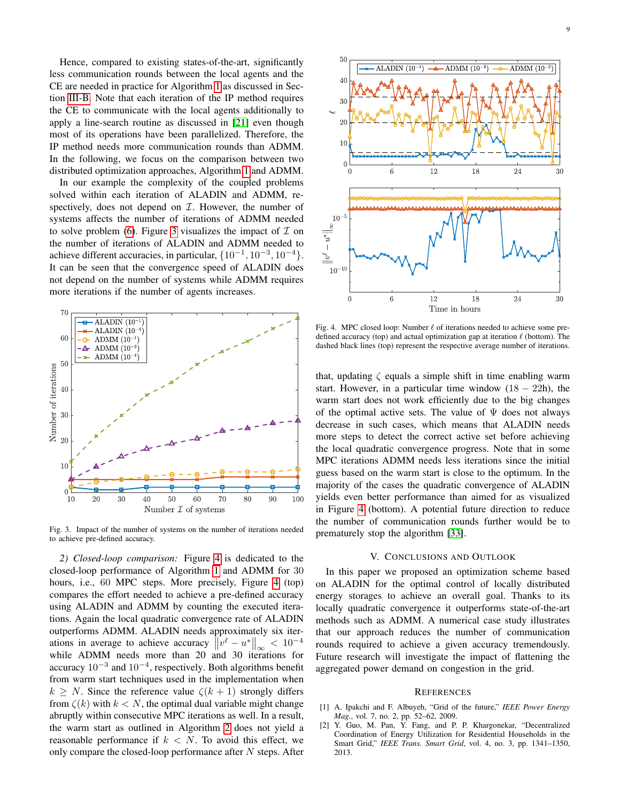Hence, compared to existing states-of-the-art, significantly less communication rounds between the local agents and the CE are needed in practice for Algorithm [1](#page-4-0) as discussed in Section [III-B.](#page-3-6) Note that each iteration of the IP method requires the CE to communicate with the local agents additionally to apply a line-search routine as discussed in [\[21\]](#page-9-18) even though most of its operations have been parallelized. Therefore, the IP method needs more communication rounds than ADMM. In the following, we focus on the comparison between two distributed optimization approaches, Algorithm [1](#page-4-0) and ADMM.

In our example the complexity of the coupled problems solved within each iteration of ALADIN and ADMM, respectively, does not depend on  $I$ . However, the number of systems affects the number of iterations of ADMM needed to solve problem [\(6\)](#page-2-6). Figure [3](#page-8-2) visualizes the impact of  $\mathcal I$  on the number of iterations of ALADIN and ADMM needed to achieve different accuracies, in particular,  $\{10^{-1}, 10^{-3}, 10^{-4}\}.$ It can be seen that the convergence speed of ALADIN does not depend on the number of systems while ADMM requires more iterations if the number of agents increases.



<span id="page-8-2"></span>Fig. 3. Impact of the number of systems on the number of iterations needed to achieve pre-defined accuracy.

*2) Closed-loop comparison:* Figure [4](#page-8-3) is dedicated to the closed-loop performance of Algorithm [1](#page-4-0) and ADMM for 30 hours, i.e., 60 MPC steps. More precisely, Figure [4](#page-8-3) (top) compares the effort needed to achieve a pre-defined accuracy using ALADIN and ADMM by counting the executed iterations. Again the local quadratic convergence rate of ALADIN outperforms ADMM. ALADIN needs approximately six iterations in average to achieve accuracy  $||v^{\ell} - u^*||_{\infty} < 10^{-4}$ while ADMM needs more than 20 and 30 iterations for accuracy  $10^{-3}$  and  $10^{-4}$ , respectively. Both algorithms benefit from warm start techniques used in the implementation when  $k > N$ . Since the reference value  $\zeta(k+1)$  strongly differs from  $\zeta(k)$  with  $k < N$ , the optimal dual variable might change abruptly within consecutive MPC iterations as well. In a result, the warm start as outlined in Algorithm [2](#page-6-3) does not yield a reasonable performance if  $k < N$ . To avoid this effect, we only compare the closed-loop performance after  $N$  steps. After



<span id="page-8-3"></span>Fig. 4. MPC closed loop: Number  $\ell$  of iterations needed to achieve some predefined accuracy (top) and actual optimization gap at iteration  $\ell$  (bottom). The dashed black lines (top) represent the respective average number of iterations.

that, updating  $\zeta$  equals a simple shift in time enabling warm start. However, in a particular time window  $(18 - 22h)$ , the warm start does not work efficiently due to the big changes of the optimal active sets. The value of  $\Psi$  does not always decrease in such cases, which means that ALADIN needs more steps to detect the correct active set before achieving the local quadratic convergence progress. Note that in some MPC iterations ADMM needs less iterations since the initial guess based on the warm start is close to the optimum. In the majority of the cases the quadratic convergence of ALADIN yields even better performance than aimed for as visualized in Figure [4](#page-8-3) (bottom). A potential future direction to reduce the number of communication rounds further would be to prematurely stop the algorithm [\[33\]](#page-9-30).

## V. CONCLUSIONS AND OUTLOOK

In this paper we proposed an optimization scheme based on ALADIN for the optimal control of locally distributed energy storages to achieve an overall goal. Thanks to its locally quadratic convergence it outperforms state-of-the-art methods such as ADMM. A numerical case study illustrates that our approach reduces the number of communication rounds required to achieve a given accuracy tremendously. Future research will investigate the impact of flattening the aggregated power demand on congestion in the grid.

#### **REFERENCES**

- <span id="page-8-0"></span>[1] A. Ipakchi and F. Albuyeh, "Grid of the future," *IEEE Power Energy Mag.*, vol. 7, no. 2, pp. 52–62, 2009.
- <span id="page-8-1"></span>Y. Guo, M. Pan, Y. Fang, and P. P. Khargonekar, "Decentralized Coordination of Energy Utilization for Residential Households in the Smart Grid," *IEEE Trans. Smart Grid*, vol. 4, no. 3, pp. 1341–1350, 2013.